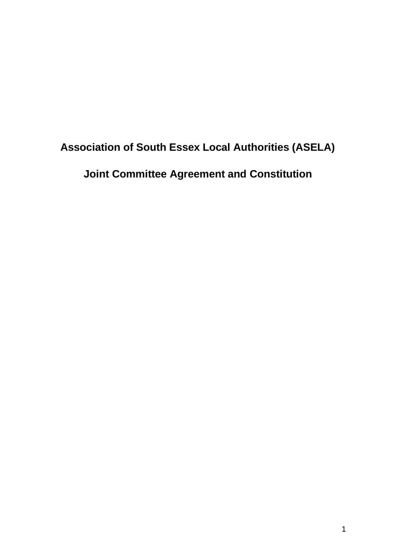# **Association of South Essex Local Authorities (ASELA) Joint Committee Agreement and Constitution**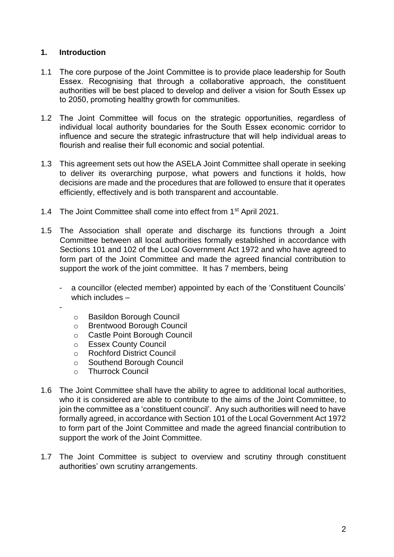## **1. Introduction**

-

- 1.1 The core purpose of the Joint Committee is to provide place leadership for South Essex. Recognising that through a collaborative approach, the constituent authorities will be best placed to develop and deliver a vision for South Essex up to 2050, promoting healthy growth for communities.
- 1.2 The Joint Committee will focus on the strategic opportunities, regardless of individual local authority boundaries for the South Essex economic corridor to influence and secure the strategic infrastructure that will help individual areas to flourish and realise their full economic and social potential.
- 1.3 This agreement sets out how the ASELA Joint Committee shall operate in seeking to deliver its overarching purpose, what powers and functions it holds, how decisions are made and the procedures that are followed to ensure that it operates efficiently, effectively and is both transparent and accountable.
- 1.4 The Joint Committee shall come into effect from 1<sup>st</sup> April 2021.
- 1.5 The Association shall operate and discharge its functions through a Joint Committee between all local authorities formally established in accordance with Sections 101 and 102 of the Local Government Act 1972 and who have agreed to form part of the Joint Committee and made the agreed financial contribution to support the work of the joint committee. It has 7 members, being
	- a councillor (elected member) appointed by each of the 'Constituent Councils' which includes –
		- o Basildon Borough Council
		- o Brentwood Borough Council
		- o Castle Point Borough Council
		- o Essex County Council
		- o Rochford District Council
		- o Southend Borough Council
		- o Thurrock Council
- 1.6 The Joint Committee shall have the ability to agree to additional local authorities, who it is considered are able to contribute to the aims of the Joint Committee, to join the committee as a 'constituent council'. Any such authorities will need to have formally agreed, in accordance with Section 101 of the Local Government Act 1972 to form part of the Joint Committee and made the agreed financial contribution to support the work of the Joint Committee.
- 1.7 The Joint Committee is subject to overview and scrutiny through constituent authorities' own scrutiny arrangements.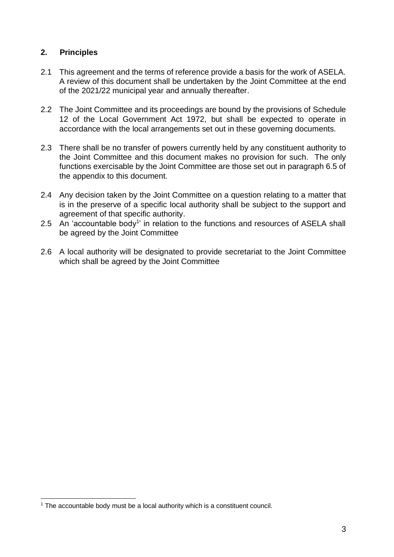## **2. Principles**

- 2.1 This agreement and the terms of reference provide a basis for the work of ASELA. A review of this document shall be undertaken by the Joint Committee at the end of the 2021/22 municipal year and annually thereafter.
- 2.2 The Joint Committee and its proceedings are bound by the provisions of Schedule 12 of the Local Government Act 1972, but shall be expected to operate in accordance with the local arrangements set out in these governing documents.
- 2.3 There shall be no transfer of powers currently held by any constituent authority to the Joint Committee and this document makes no provision for such. The only functions exercisable by the Joint Committee are those set out in paragraph 6.5 of the appendix to this document.
- 2.4 Any decision taken by the Joint Committee on a question relating to a matter that is in the preserve of a specific local authority shall be subject to the support and agreement of that specific authority.
- 2.5 An 'accountable body<sup>1</sup>' in relation to the functions and resources of ASELA shall be agreed by the Joint Committee
- 2.6 A local authority will be designated to provide secretariat to the Joint Committee which shall be agreed by the Joint Committee

 $1$  The accountable body must be a local authority which is a constituent council.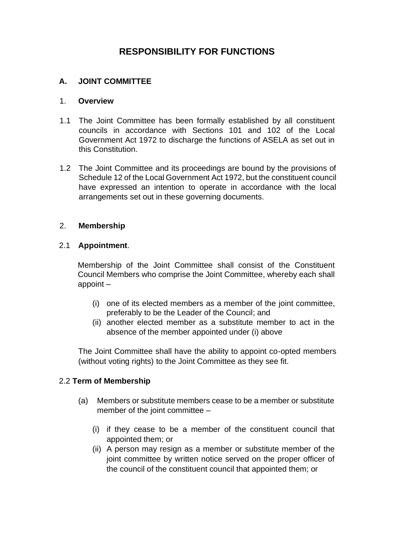## **RESPONSIBILITY FOR FUNCTIONS**

#### **A. JOINT COMMITTEE**

#### 1. **Overview**

- 1.1 The Joint Committee has been formally established by all constituent councils in accordance with Sections 101 and 102 of the Local Government Act 1972 to discharge the functions of ASELA as set out in this Constitution.
- 1.2 The Joint Committee and its proceedings are bound by the provisions of Schedule 12 of the Local Government Act 1972, but the constituent council have expressed an intention to operate in accordance with the local arrangements set out in these governing documents.

#### 2. **Membership**

#### 2.1 **Appointment**.

Membership of the Joint Committee shall consist of the Constituent Council Members who comprise the Joint Committee, whereby each shall appoint –

- (i) one of its elected members as a member of the joint committee, preferably to be the Leader of the Council; and
- (ii) another elected member as a substitute member to act in the absence of the member appointed under (i) above

The Joint Committee shall have the ability to appoint co-opted members (without voting rights) to the Joint Committee as they see fit.

#### 2.2 **Term of Membership**

- (a) Members or substitute members cease to be a member or substitute member of the joint committee –
	- (i) if they cease to be a member of the constituent council that appointed them; or
	- (ii) A person may resign as a member or substitute member of the joint committee by written notice served on the proper officer of the council of the constituent council that appointed them; or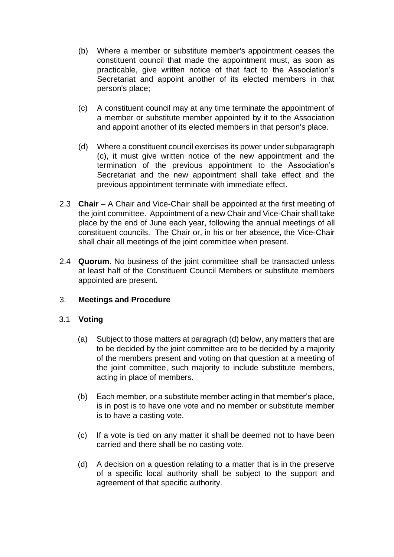- (b) Where a member or substitute member's appointment ceases the constituent council that made the appointment must, as soon as practicable, give written notice of that fact to the Association's Secretariat and appoint another of its elected members in that person's place;
- (c) A constituent council may at any time terminate the appointment of a member or substitute member appointed by it to the Association and appoint another of its elected members in that person's place.
- (d) Where a constituent council exercises its power under subparagraph (c), it must give written notice of the new appointment and the termination of the previous appointment to the Association's Secretariat and the new appointment shall take effect and the previous appointment terminate with immediate effect.
- 2.3 **Chair** A Chair and Vice-Chair shall be appointed at the first meeting of the joint committee. Appointment of a new Chair and Vice-Chair shall take place by the end of June each year, following the annual meetings of all constituent councils. The Chair or, in his or her absence, the Vice-Chair shall chair all meetings of the joint committee when present.
- 2.4 **Quorum**. No business of the joint committee shall be transacted unless at least half of the Constituent Council Members or substitute members appointed are present.

## 3. **Meetings and Procedure**

#### 3.1 **Voting**

- (a) Subject to those matters at paragraph (d) below, any matters that are to be decided by the joint committee are to be decided by a majority of the members present and voting on that question at a meeting of the joint committee, such majority to include substitute members, acting in place of members.
- (b) Each member, or a substitute member acting in that member's place, is in post is to have one vote and no member or substitute member is to have a casting vote.
- (c) If a vote is tied on any matter it shall be deemed not to have been carried and there shall be no casting vote.
- (d) A decision on a question relating to a matter that is in the preserve of a specific local authority shall be subject to the support and agreement of that specific authority.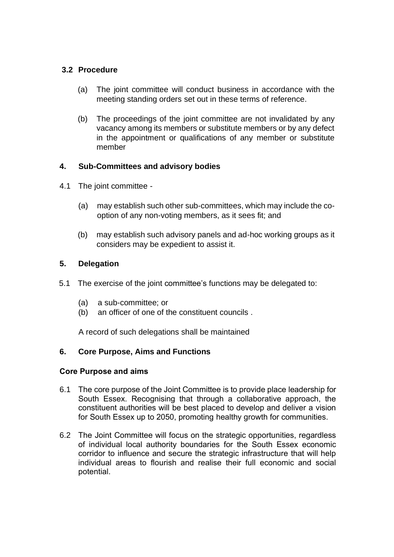## **3.2 Procedure**

- (a) The joint committee will conduct business in accordance with the meeting standing orders set out in these terms of reference.
- (b) The proceedings of the joint committee are not invalidated by any vacancy among its members or substitute members or by any defect in the appointment or qualifications of any member or substitute member

## **4. Sub-Committees and advisory bodies**

- 4.1 The joint committee
	- (a) may establish such other sub-committees, which may include the cooption of any non-voting members, as it sees fit; and
	- (b) may establish such advisory panels and ad-hoc working groups as it considers may be expedient to assist it.

#### **5. Delegation**

- 5.1 The exercise of the joint committee's functions may be delegated to:
	- (a) a sub-committee; or
	- (b) an officer of one of the constituent councils .

A record of such delegations shall be maintained

## **6. Core Purpose, Aims and Functions**

#### **Core Purpose and aims**

- 6.1 The core purpose of the Joint Committee is to provide place leadership for South Essex. Recognising that through a collaborative approach, the constituent authorities will be best placed to develop and deliver a vision for South Essex up to 2050, promoting healthy growth for communities.
- 6.2 The Joint Committee will focus on the strategic opportunities, regardless of individual local authority boundaries for the South Essex economic corridor to influence and secure the strategic infrastructure that will help individual areas to flourish and realise their full economic and social potential.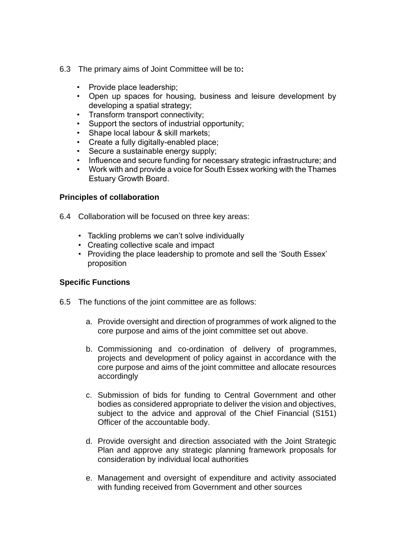- 6.3 The primary aims of Joint Committee will be to**:**
	- Provide place leadership;
	- Open up spaces for housing, business and leisure development by developing a spatial strategy;
	- Transform transport connectivity;
	- Support the sectors of industrial opportunity;
	- Shape local labour & skill markets;
	- Create a fully digitally-enabled place;
	- Secure a sustainable energy supply;
	- Influence and secure funding for necessary strategic infrastructure; and
	- Work with and provide a voice for South Essex working with the Thames Estuary Growth Board.

#### **Principles of collaboration**

- 6.4 Collaboration will be focused on three key areas:
	- Tackling problems we can't solve individually
	- Creating collective scale and impact
	- Providing the place leadership to promote and sell the 'South Essex' proposition

#### **Specific Functions**

- 6.5 The functions of the joint committee are as follows:
	- a. Provide oversight and direction of programmes of work aligned to the core purpose and aims of the joint committee set out above.
	- b. Commissioning and co-ordination of delivery of programmes, projects and development of policy against in accordance with the core purpose and aims of the joint committee and allocate resources accordingly
	- c. Submission of bids for funding to Central Government and other bodies as considered appropriate to deliver the vision and objectives, subject to the advice and approval of the Chief Financial (S151) Officer of the accountable body.
	- d. Provide oversight and direction associated with the Joint Strategic Plan and approve any strategic planning framework proposals for consideration by individual local authorities
	- e. Management and oversight of expenditure and activity associated with funding received from Government and other sources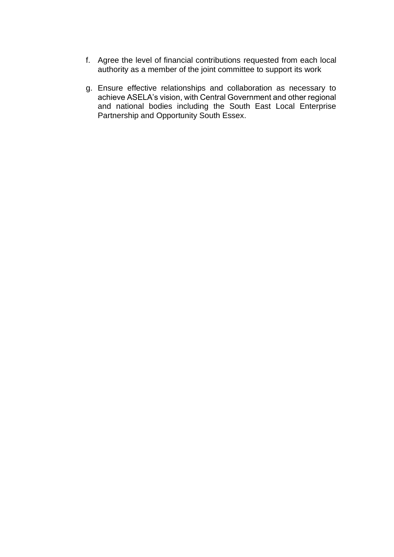- f. Agree the level of financial contributions requested from each local authority as a member of the joint committee to support its work
- g. Ensure effective relationships and collaboration as necessary to achieve ASELA's vision, with Central Government and other regional and national bodies including the South East Local Enterprise Partnership and Opportunity South Essex.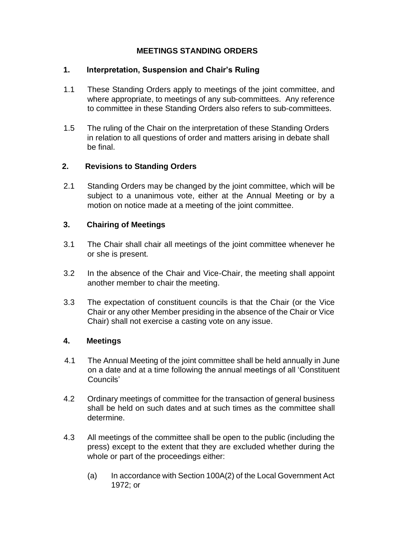## **MEETINGS STANDING ORDERS**

#### **1. Interpretation, Suspension and Chair's Ruling**

- 1.1 These Standing Orders apply to meetings of the joint committee, and where appropriate, to meetings of any sub-committees. Any reference to committee in these Standing Orders also refers to sub-committees.
- 1.5 The ruling of the Chair on the interpretation of these Standing Orders in relation to all questions of order and matters arising in debate shall be final.

## **2. Revisions to Standing Orders**

2.1 Standing Orders may be changed by the joint committee, which will be subject to a unanimous vote, either at the Annual Meeting or by a motion on notice made at a meeting of the joint committee.

## **3. Chairing of Meetings**

- 3.1 The Chair shall chair all meetings of the joint committee whenever he or she is present.
- 3.2 In the absence of the Chair and Vice-Chair, the meeting shall appoint another member to chair the meeting.
- 3.3 The expectation of constituent councils is that the Chair (or the Vice Chair or any other Member presiding in the absence of the Chair or Vice Chair) shall not exercise a casting vote on any issue.

#### **4. Meetings**

- 4.1 The Annual Meeting of the joint committee shall be held annually in June on a date and at a time following the annual meetings of all 'Constituent Councils'
- 4.2 Ordinary meetings of committee for the transaction of general business shall be held on such dates and at such times as the committee shall determine.
- 4.3 All meetings of the committee shall be open to the public (including the press) except to the extent that they are excluded whether during the whole or part of the proceedings either:
	- (a) In accordance with Section 100A(2) of the Local Government Act 1972; or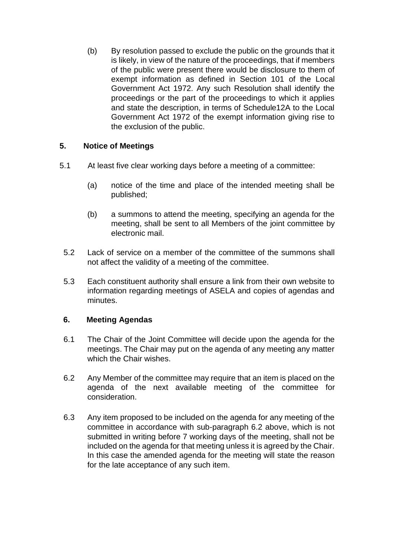(b) By resolution passed to exclude the public on the grounds that it is likely, in view of the nature of the proceedings, that if members of the public were present there would be disclosure to them of exempt information as defined in Section 101 of the Local Government Act 1972. Any such Resolution shall identify the proceedings or the part of the proceedings to which it applies and state the description, in terms of Schedule12A to the Local Government Act 1972 of the exempt information giving rise to the exclusion of the public.

## **5. Notice of Meetings**

- 5.1 At least five clear working days before a meeting of a committee:
	- (a) notice of the time and place of the intended meeting shall be published;
	- (b) a summons to attend the meeting, specifying an agenda for the meeting, shall be sent to all Members of the joint committee by electronic mail.
	- 5.2 Lack of service on a member of the committee of the summons shall not affect the validity of a meeting of the committee.
	- 5.3 Each constituent authority shall ensure a link from their own website to information regarding meetings of ASELA and copies of agendas and minutes.

#### **6. Meeting Agendas**

- 6.1 The Chair of the Joint Committee will decide upon the agenda for the meetings. The Chair may put on the agenda of any meeting any matter which the Chair wishes.
- 6.2 Any Member of the committee may require that an item is placed on the agenda of the next available meeting of the committee for consideration.
- 6.3 Any item proposed to be included on the agenda for any meeting of the committee in accordance with sub-paragraph 6.2 above, which is not submitted in writing before 7 working days of the meeting, shall not be included on the agenda for that meeting unless it is agreed by the Chair. In this case the amended agenda for the meeting will state the reason for the late acceptance of any such item.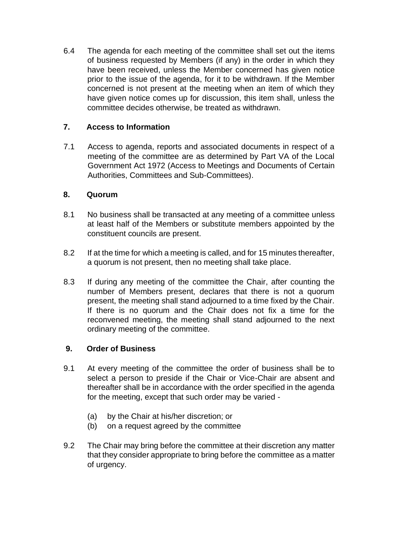6.4 The agenda for each meeting of the committee shall set out the items of business requested by Members (if any) in the order in which they have been received, unless the Member concerned has given notice prior to the issue of the agenda, for it to be withdrawn. If the Member concerned is not present at the meeting when an item of which they have given notice comes up for discussion, this item shall, unless the committee decides otherwise, be treated as withdrawn.

## **7. Access to Information**

7.1 Access to agenda, reports and associated documents in respect of a meeting of the committee are as determined by Part VA of the Local Government Act 1972 (Access to Meetings and Documents of Certain Authorities, Committees and Sub-Committees).

## **8. Quorum**

- 8.1 No business shall be transacted at any meeting of a committee unless at least half of the Members or substitute members appointed by the constituent councils are present.
- 8.2 If at the time for which a meeting is called, and for 15 minutes thereafter, a quorum is not present, then no meeting shall take place.
- 8.3 If during any meeting of the committee the Chair, after counting the number of Members present, declares that there is not a quorum present, the meeting shall stand adjourned to a time fixed by the Chair. If there is no quorum and the Chair does not fix a time for the reconvened meeting, the meeting shall stand adjourned to the next ordinary meeting of the committee.

## **9. Order of Business**

- 9.1 At every meeting of the committee the order of business shall be to select a person to preside if the Chair or Vice-Chair are absent and thereafter shall be in accordance with the order specified in the agenda for the meeting, except that such order may be varied -
	- (a) by the Chair at his/her discretion; or
	- (b) on a request agreed by the committee
- 9.2 The Chair may bring before the committee at their discretion any matter that they consider appropriate to bring before the committee as a matter of urgency.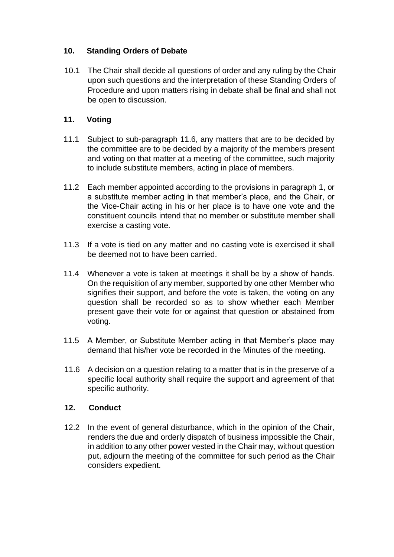## **10. Standing Orders of Debate**

10.1 The Chair shall decide all questions of order and any ruling by the Chair upon such questions and the interpretation of these Standing Orders of Procedure and upon matters rising in debate shall be final and shall not be open to discussion.

## **11. Voting**

- 11.1 Subject to sub-paragraph 11.6, any matters that are to be decided by the committee are to be decided by a majority of the members present and voting on that matter at a meeting of the committee, such majority to include substitute members, acting in place of members.
- 11.2 Each member appointed according to the provisions in paragraph 1, or a substitute member acting in that member's place, and the Chair, or the Vice-Chair acting in his or her place is to have one vote and the constituent councils intend that no member or substitute member shall exercise a casting vote.
- 11.3 If a vote is tied on any matter and no casting vote is exercised it shall be deemed not to have been carried.
- 11.4 Whenever a vote is taken at meetings it shall be by a show of hands. On the requisition of any member, supported by one other Member who signifies their support, and before the vote is taken, the voting on any question shall be recorded so as to show whether each Member present gave their vote for or against that question or abstained from voting.
- 11.5 A Member, or Substitute Member acting in that Member's place may demand that his/her vote be recorded in the Minutes of the meeting.
- 11.6 A decision on a question relating to a matter that is in the preserve of a specific local authority shall require the support and agreement of that specific authority.

#### **12. Conduct**

12.2 In the event of general disturbance, which in the opinion of the Chair, renders the due and orderly dispatch of business impossible the Chair, in addition to any other power vested in the Chair may, without question put, adjourn the meeting of the committee for such period as the Chair considers expedient.